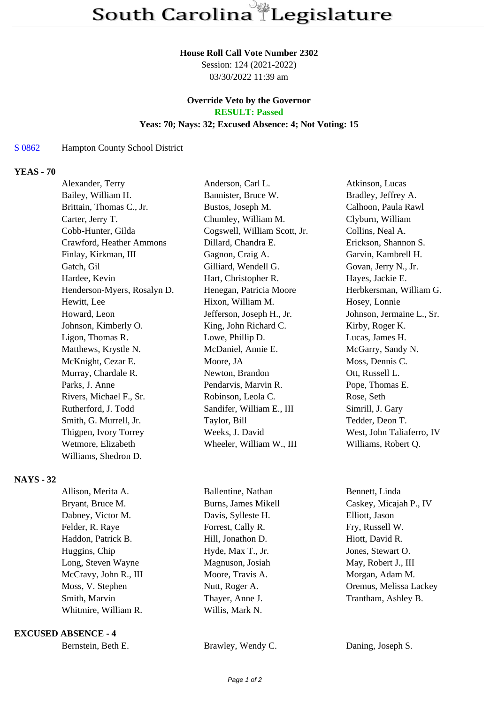#### **House Roll Call Vote Number 2302**

Session: 124 (2021-2022) 03/30/2022 11:39 am

# **Override Veto by the Governor RESULT: Passed**

#### **Yeas: 70; Nays: 32; Excused Absence: 4; Not Voting: 15**

## S 0862 Hampton County School District

# **YEAS - 70**

| Anderson, Carl L.            | Atkinson, Lucas           |
|------------------------------|---------------------------|
| Bannister, Bruce W.          | Bradley, Jeffrey A.       |
| Bustos, Joseph M.            | Calhoon, Paula Rawl       |
| Chumley, William M.          | Clyburn, William          |
| Cogswell, William Scott, Jr. | Collins, Neal A.          |
| Dillard, Chandra E.          | Erickson, Shannon S.      |
| Gagnon, Craig A.             | Garvin, Kambrell H.       |
| Gilliard, Wendell G.         | Govan, Jerry N., Jr.      |
| Hart, Christopher R.         | Hayes, Jackie E.          |
| Henegan, Patricia Moore      | Herbkersman, William G.   |
| Hixon, William M.            | Hosey, Lonnie             |
| Jefferson, Joseph H., Jr.    | Johnson, Jermaine L., Sr. |
| King, John Richard C.        | Kirby, Roger K.           |
| Lowe, Phillip D.             | Lucas, James H.           |
| McDaniel, Annie E.           | McGarry, Sandy N.         |
| Moore, JA                    | Moss, Dennis C.           |
| Newton, Brandon              | Ott, Russell L.           |
| Pendarvis, Marvin R.         | Pope, Thomas E.           |
| Robinson, Leola C.           | Rose, Seth                |
| Sandifer, William E., III    | Simrill, J. Gary          |
| Taylor, Bill                 | Tedder, Deon T.           |
| Weeks, J. David              | West, John Taliaferro, IV |
| Wheeler, William W., III     | Williams, Robert Q.       |
|                              |                           |
|                              |                           |

# **NAYS - 32**

| Allison, Merita A.    | Ballentine, Nathan  | Bennett, Linda         |
|-----------------------|---------------------|------------------------|
| Bryant, Bruce M.      | Burns, James Mikell | Caskey, Micajah P., IV |
| Dabney, Victor M.     | Davis, Sylleste H.  | Elliott, Jason         |
| Felder, R. Raye       | Forrest, Cally R.   | Fry, Russell W.        |
| Haddon, Patrick B.    | Hill, Jonathon D.   | Hiott, David R.        |
| Huggins, Chip         | Hyde, Max T., Jr.   | Jones, Stewart O.      |
| Long, Steven Wayne    | Magnuson, Josiah    | May, Robert J., III    |
| McCravy, John R., III | Moore, Travis A.    | Morgan, Adam M.        |
| Moss, V. Stephen      | Nutt, Roger A.      | Oremus, Melissa Lackey |
| Smith, Marvin         | Thayer, Anne J.     | Trantham, Ashley B.    |
| Whitmire, William R.  | Willis, Mark N.     |                        |
|                       |                     |                        |

#### **EXCUSED ABSENCE - 4**

Brawley, Wendy C. Daning, Joseph S.